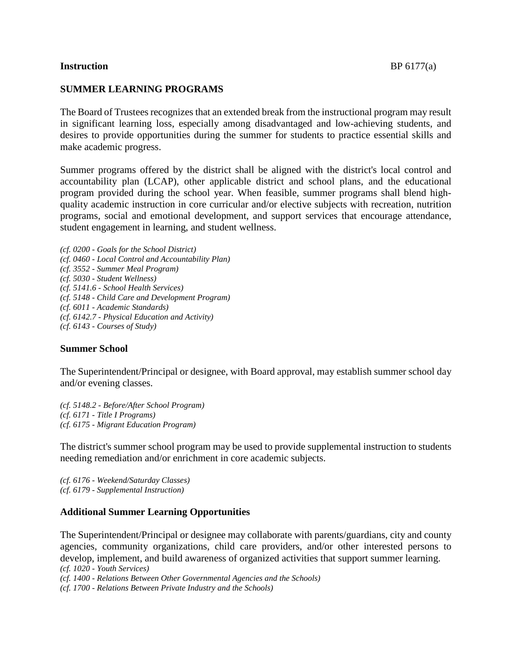# **Instruction** BP 6177(a)

# **SUMMER LEARNING PROGRAMS**

The Board of Trustees recognizes that an extended break from the instructional program may result in significant learning loss, especially among disadvantaged and low-achieving students, and desires to provide opportunities during the summer for students to practice essential skills and make academic progress.

Summer programs offered by the district shall be aligned with the district's local control and accountability plan (LCAP), other applicable district and school plans, and the educational program provided during the school year. When feasible, summer programs shall blend highquality academic instruction in core curricular and/or elective subjects with recreation, nutrition programs, social and emotional development, and support services that encourage attendance, student engagement in learning, and student wellness.

*(cf. 0200 - Goals for the School District) (cf. 0460 - Local Control and Accountability Plan) (cf. 3552 - Summer Meal Program) (cf. 5030 - Student Wellness) (cf. 5141.6 - School Health Services) (cf. 5148 - Child Care and Development Program) (cf. 6011 - Academic Standards) (cf. 6142.7 - Physical Education and Activity) (cf. 6143 - Courses of Study)*

#### **Summer School**

The Superintendent/Principal or designee, with Board approval, may establish summer school day and/or evening classes.

*(cf. 5148.2 - Before/After School Program) (cf. 6171 - Title I Programs) (cf. 6175 - Migrant Education Program)*

The district's summer school program may be used to provide supplemental instruction to students needing remediation and/or enrichment in core academic subjects.

*(cf. 6176 - Weekend/Saturday Classes) (cf. 6179 - Supplemental Instruction)*

#### **Additional Summer Learning Opportunities**

The Superintendent/Principal or designee may collaborate with parents/guardians, city and county agencies, community organizations, child care providers, and/or other interested persons to develop, implement, and build awareness of organized activities that support summer learning. *(cf. 1020 - Youth Services)*

*(cf. 1400 - Relations Between Other Governmental Agencies and the Schools)*

*(cf. 1700 - Relations Between Private Industry and the Schools)*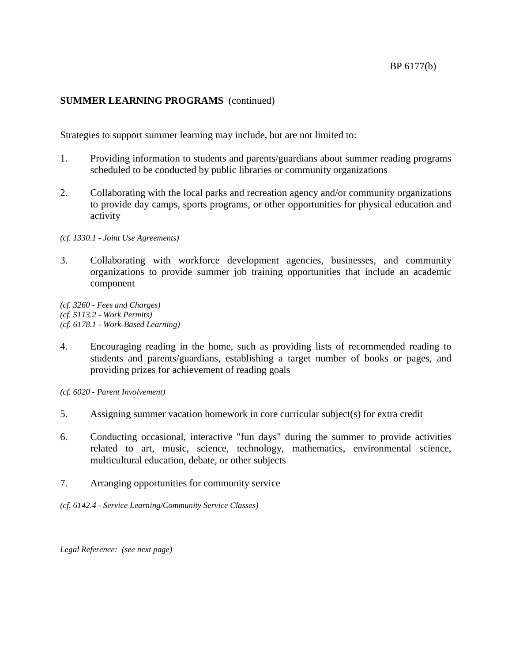# **SUMMER LEARNING PROGRAMS** (continued)

Strategies to support summer learning may include, but are not limited to:

- 1. Providing information to students and parents/guardians about summer reading programs scheduled to be conducted by public libraries or community organizations
- 2. Collaborating with the local parks and recreation agency and/or community organizations to provide day camps, sports programs, or other opportunities for physical education and activity

*(cf. 1330.1 - Joint Use Agreements)*

3. Collaborating with workforce development agencies, businesses, and community organizations to provide summer job training opportunities that include an academic component

*(cf. 3260 - Fees and Charges) (cf. 5113.2 - Work Permits) (cf. 6178.1 - Work-Based Learning)*

4. Encouraging reading in the home, such as providing lists of recommended reading to students and parents/guardians, establishing a target number of books or pages, and providing prizes for achievement of reading goals

*(cf. 6020 - Parent Involvement)*

- 5. Assigning summer vacation homework in core curricular subject(s) for extra credit
- 6. Conducting occasional, interactive "fun days" during the summer to provide activities related to art, music, science, technology, mathematics, environmental science, multicultural education, debate, or other subjects
- 7. Arranging opportunities for community service
- *(cf. 6142.4 - Service Learning/Community Service Classes)*

*Legal Reference: (see next page)*